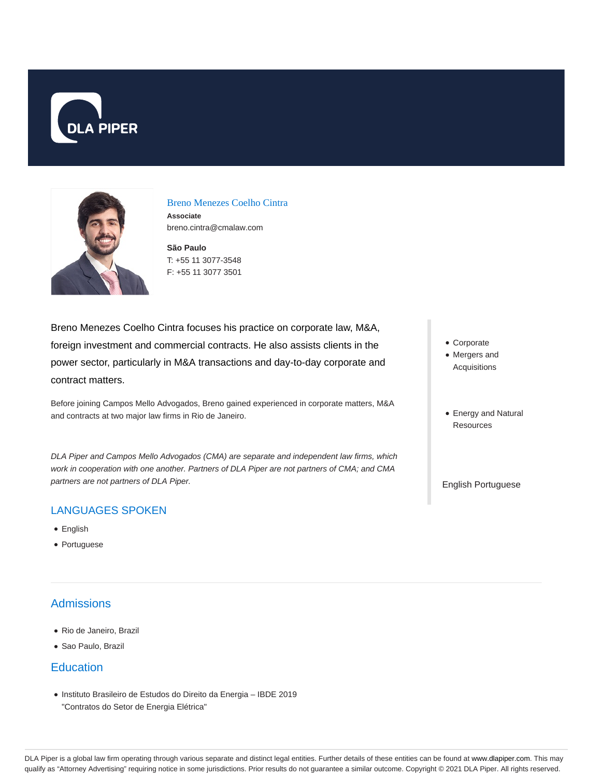



Breno Menezes Coelho Cintra **Associate** breno.cintra@cmalaw.com

**São Paulo** T: +55 11 3077-3548 F: +55 11 3077 3501

Breno Menezes Coelho Cintra focuses his practice on corporate law, M&A, foreign investment and commercial contracts. He also assists clients in the power sector, particularly in M&A transactions and day-to-day corporate and contract matters.

Before joining Campos Mello Advogados, Breno gained experienced in corporate matters, M&A and contracts at two major law firms in Rio de Janeiro.

DLA Piper and Campos Mello Advogados (CMA) are separate and independent law firms, which work in cooperation with one another. Partners of DLA Piper are not partners of CMA; and CMA partners are not partners of DLA Piper.

#### LANGUAGES SPOKEN

- English
- Portuguese

# **Admissions**

- Rio de Janeiro, Brazil
- Sao Paulo, Brazil

### **Education**

Instituto Brasileiro de Estudos do Direito da Energia – IBDE 2019 "Contratos do Setor de Energia Elétrica"

- Corporate
- Mergers and Acquisitions
- Energy and Natural **Resources**

English Portuguese